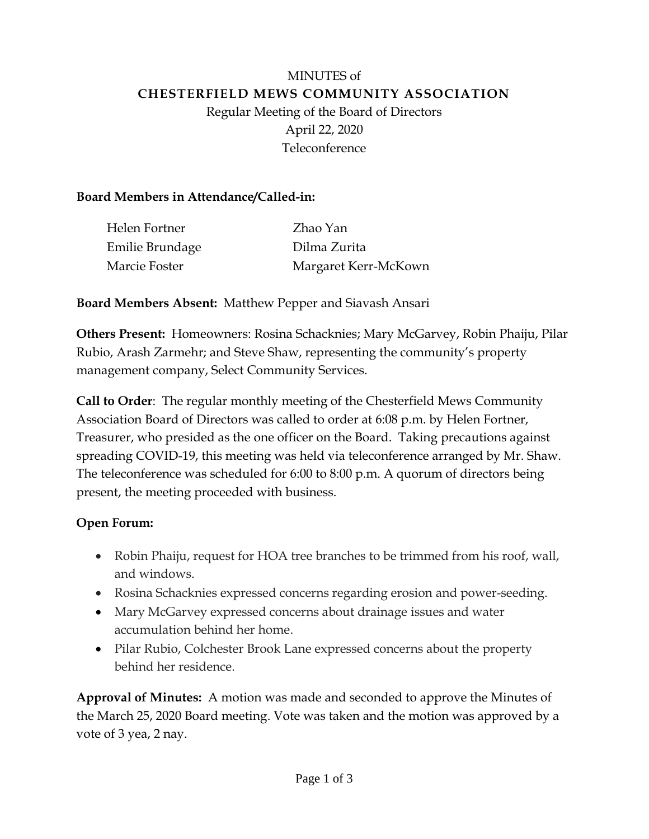# MINUTES of **CHESTERFIELD MEWS COMMUNITY ASSOCIATION** Regular Meeting of the Board of Directors April 22, 2020 Teleconference

## **Board Members in Attendance/Called-in:**

| Helen Fortner   | Zhao Yan             |
|-----------------|----------------------|
| Emilie Brundage | Dilma Zurita         |
| Marcie Foster   | Margaret Kerr-McKown |

**Board Members Absent:** Matthew Pepper and Siavash Ansari

**Others Present:** Homeowners: Rosina Schacknies; Mary McGarvey, Robin Phaiju, Pilar Rubio, Arash Zarmehr; and Steve Shaw, representing the community's property management company, Select Community Services.

**Call to Order**: The regular monthly meeting of the Chesterfield Mews Community Association Board of Directors was called to order at 6:08 p.m. by Helen Fortner, Treasurer, who presided as the one officer on the Board. Taking precautions against spreading COVID-19, this meeting was held via teleconference arranged by Mr. Shaw. The teleconference was scheduled for 6:00 to 8:00 p.m. A quorum of directors being present, the meeting proceeded with business.

# **Open Forum:**

- Robin Phaiju, request for HOA tree branches to be trimmed from his roof, wall, and windows.
- Rosina Schacknies expressed concerns regarding erosion and power-seeding.
- Mary McGarvey expressed concerns about drainage issues and water accumulation behind her home.
- Pilar Rubio, Colchester Brook Lane expressed concerns about the property behind her residence.

**Approval of Minutes:** A motion was made and seconded to approve the Minutes of the March 25, 2020 Board meeting. Vote was taken and the motion was approved by a vote of 3 yea, 2 nay.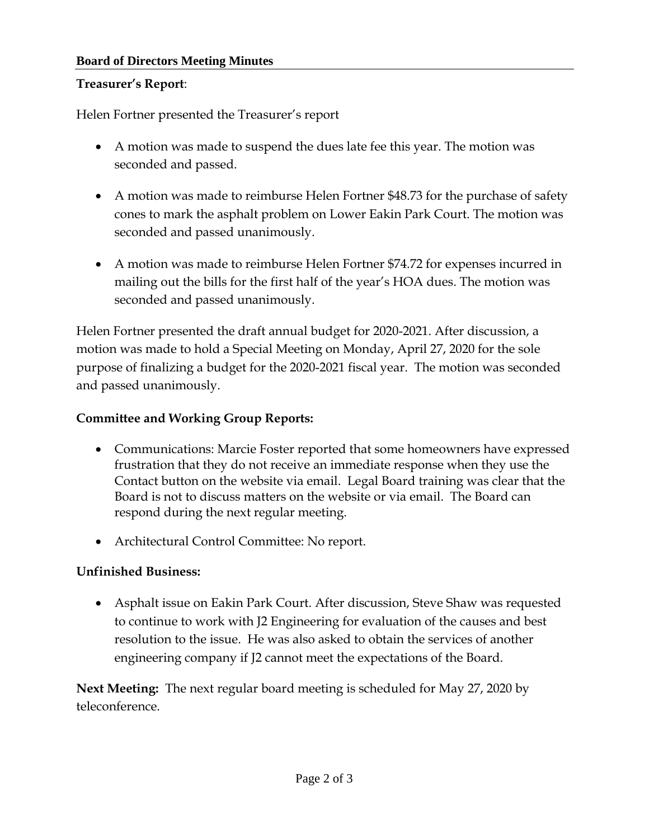#### **Board of Directors Meeting Minutes**

#### **Treasurer's Report**:

Helen Fortner presented the Treasurer's report

- A motion was made to suspend the dues late fee this year. The motion was seconded and passed.
- A motion was made to reimburse Helen Fortner \$48.73 for the purchase of safety cones to mark the asphalt problem on Lower Eakin Park Court. The motion was seconded and passed unanimously.
- A motion was made to reimburse Helen Fortner \$74.72 for expenses incurred in mailing out the bills for the first half of the year's HOA dues. The motion was seconded and passed unanimously.

Helen Fortner presented the draft annual budget for 2020-2021. After discussion, a motion was made to hold a Special Meeting on Monday, April 27, 2020 for the sole purpose of finalizing a budget for the 2020-2021 fiscal year. The motion was seconded and passed unanimously.

#### **Committee and Working Group Reports:**

- Communications: Marcie Foster reported that some homeowners have expressed frustration that they do not receive an immediate response when they use the Contact button on the website via email. Legal Board training was clear that the Board is not to discuss matters on the website or via email. The Board can respond during the next regular meeting.
- Architectural Control Committee: No report.

## **Unfinished Business:**

• Asphalt issue on Eakin Park Court. After discussion, Steve Shaw was requested to continue to work with J2 Engineering for evaluation of the causes and best resolution to the issue. He was also asked to obtain the services of another engineering company if J2 cannot meet the expectations of the Board.

**Next Meeting:** The next regular board meeting is scheduled for May 27, 2020 by teleconference.